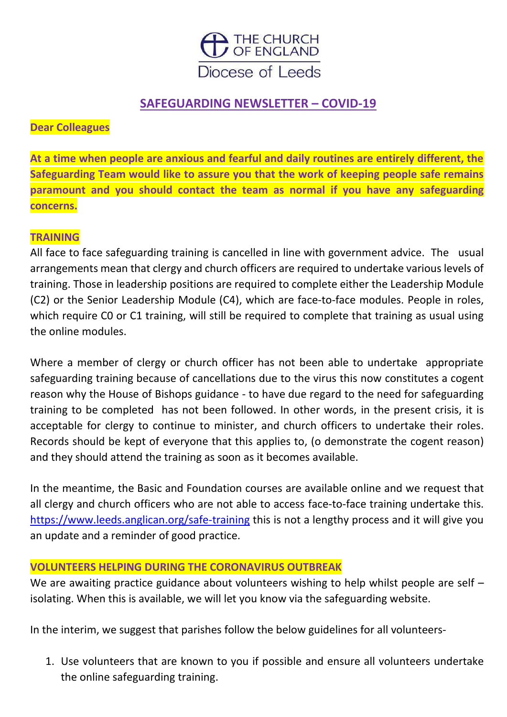

## **SAFEGUARDING NEWSLETTER – COVID-19**

### **Dear Colleagues**

**At a time when people are anxious and fearful and daily routines are entirely different, the Safeguarding Team would like to assure you that the work of keeping people safe remains paramount and you should contact the team as normal if you have any safeguarding concerns.**

#### **TRAINING**

All face to face safeguarding training is cancelled in line with government advice. The usual arrangements mean that clergy and church officers are required to undertake various levels of training. Those in leadership positions are required to complete either the Leadership Module (C2) or the Senior Leadership Module (C4), which are face-to-face modules. People in roles, which require C0 or C1 training, will still be required to complete that training as usual using the online modules.

Where a member of clergy or church officer has not been able to undertake appropriate safeguarding training because of cancellations due to the virus this now constitutes a cogent reason why the House of Bishops guidance - to have due regard to the need for safeguarding training to be completed has not been followed. In other words, in the present crisis, it is acceptable for clergy to continue to minister, and church officers to undertake their roles. Records should be kept of everyone that this applies to, (o demonstrate the cogent reason) and they should attend the training as soon as it becomes available.

In the meantime, the Basic and Foundation courses are available online and we request that all clergy and church officers who are not able to access face-to-face training undertake this. <https://www.leeds.anglican.org/safe-training> this is not a lengthy process and it will give you an update and a reminder of good practice.

#### **VOLUNTEERS HELPING DURING THE CORONAVIRUS OUTBREAK**

We are awaiting practice guidance about volunteers wishing to help whilst people are self – isolating. When this is available, we will let you know via the safeguarding website.

In the interim, we suggest that parishes follow the below guidelines for all volunteers-

1. Use volunteers that are known to you if possible and ensure all volunteers undertake the online safeguarding training.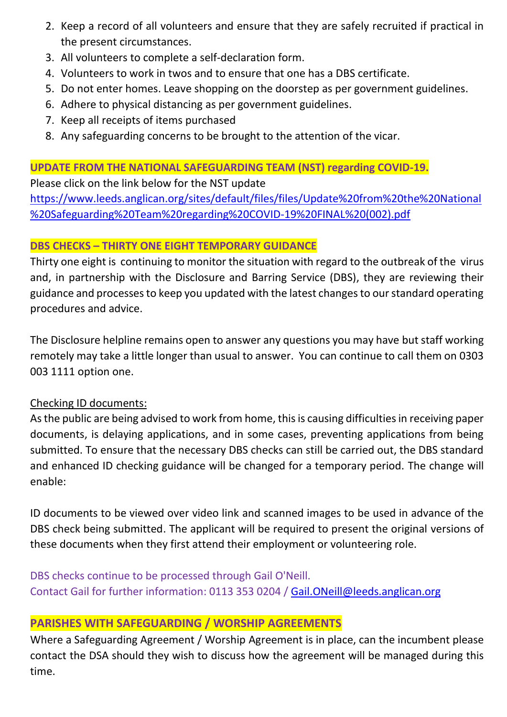- 2. Keep a record of all volunteers and ensure that they are safely recruited if practical in the present circumstances.
- 3. All volunteers to complete a self-declaration form.
- 4. Volunteers to work in twos and to ensure that one has a DBS certificate.
- 5. Do not enter homes. Leave shopping on the doorstep as per government guidelines.
- 6. Adhere to physical distancing as per government guidelines.
- 7. Keep all receipts of items purchased
- 8. Any safeguarding concerns to be brought to the attention of the vicar.

## **UPDATE FROM THE NATIONAL SAFEGUARDING TEAM (NST) regarding COVID-19.**

Please click on the link below for the NST update [https://www.leeds.anglican.org/sites/default/files/files/Update%20from%20the%20National](https://www.leeds.anglican.org/sites/default/files/files/Update%20from%20the%20National%20Safeguarding%20Team%20regarding%20COVID-19%20FINAL%20(002).pdf) [%20Safeguarding%20Team%20regarding%20COVID-19%20FINAL%20\(002\).pdf](https://www.leeds.anglican.org/sites/default/files/files/Update%20from%20the%20National%20Safeguarding%20Team%20regarding%20COVID-19%20FINAL%20(002).pdf)

## **DBS CHECKS – THIRTY ONE EIGHT TEMPORARY GUIDANCE**

Thirty one eight is continuing to monitor the situation with regard to the outbreak of the virus and, in partnership with the Disclosure and Barring Service (DBS), they are reviewing their guidance and processes to keep you updated with the latest changes to our standard operating procedures and advice.

The Disclosure helpline remains open to answer any questions you may have but staff working remotely may take a little longer than usual to answer. You can continue to call them on 0303 003 1111 option one.

## Checking ID documents:

As the public are being advised to work from home, this is causing difficulties in receiving paper documents, is delaying applications, and in some cases, preventing applications from being submitted. To ensure that the necessary DBS checks can still be carried out, the DBS standard and enhanced ID checking guidance will be changed for a temporary period. The change will enable:

ID documents to be viewed over video link and scanned images to be used in advance of the DBS check being submitted. The applicant will be required to present the original versions of these documents when they first attend their employment or volunteering role.

DBS checks continue to be processed through Gail O'Neill. Contact Gail for further information: 0113 353 0204 / [Gail.ONeill@leeds.anglican.org](mailto:Gail.ONeill@leeds.anglican.org)

# **PARISHES WITH SAFEGUARDING / WORSHIP AGREEMENTS**

Where a Safeguarding Agreement / Worship Agreement is in place, can the incumbent please contact the DSA should they wish to discuss how the agreement will be managed during this time.